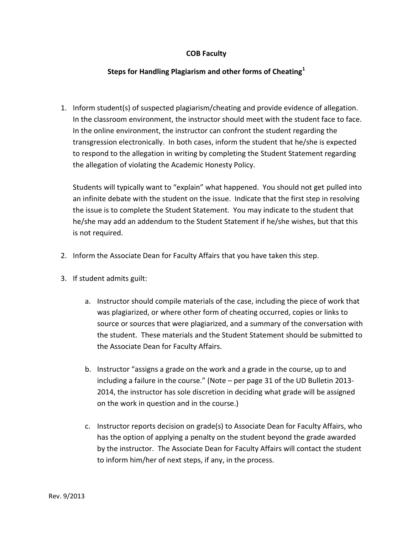## **COB Faculty**

## **Steps for Handling Plagiarism and other forms of Cheating<sup>1</sup>**

1. Inform student(s) of suspected plagiarism/cheating and provide evidence of allegation. In the classroom environment, the instructor should meet with the student face to face. In the online environment, the instructor can confront the student regarding the transgression electronically. In both cases, inform the student that he/she is expected to respond to the allegation in writing by completing the Student Statement regarding the allegation of violating the Academic Honesty Policy.

Students will typically want to "explain" what happened. You should not get pulled into an infinite debate with the student on the issue. Indicate that the first step in resolving the issue is to complete the Student Statement. You may indicate to the student that he/she may add an addendum to the Student Statement if he/she wishes, but that this is not required.

- 2. Inform the Associate Dean for Faculty Affairs that you have taken this step.
- 3. If student admits guilt:
	- a. Instructor should compile materials of the case, including the piece of work that was plagiarized, or where other form of cheating occurred, copies or links to source or sources that were plagiarized, and a summary of the conversation with the student. These materials and the Student Statement should be submitted to the Associate Dean for Faculty Affairs.
	- b. Instructor "assigns a grade on the work and a grade in the course, up to and including a failure in the course." (Note – per page 31 of the UD Bulletin 2013- 2014, the instructor has sole discretion in deciding what grade will be assigned on the work in question and in the course.)
	- c. Instructor reports decision on grade(s) to Associate Dean for Faculty Affairs, who has the option of applying a penalty on the student beyond the grade awarded by the instructor. The Associate Dean for Faculty Affairs will contact the student to inform him/her of next steps, if any, in the process.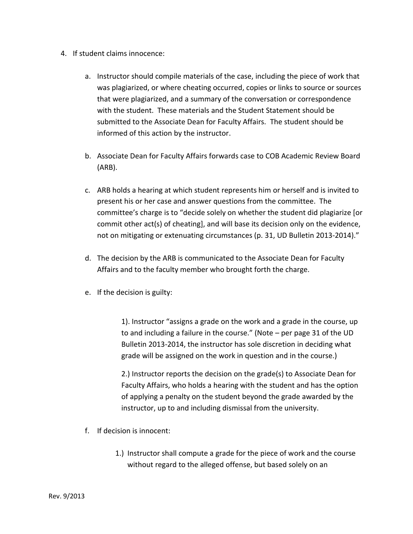- 4. If student claims innocence:
	- a. Instructor should compile materials of the case, including the piece of work that was plagiarized, or where cheating occurred, copies or links to source or sources that were plagiarized, and a summary of the conversation or correspondence with the student. These materials and the Student Statement should be submitted to the Associate Dean for Faculty Affairs. The student should be informed of this action by the instructor.
	- b. Associate Dean for Faculty Affairs forwards case to COB Academic Review Board (ARB).
	- c. ARB holds a hearing at which student represents him or herself and is invited to present his or her case and answer questions from the committee. The committee's charge is to "decide solely on whether the student did plagiarize [or commit other act(s) of cheating], and will base its decision only on the evidence, not on mitigating or extenuating circumstances (p. 31, UD Bulletin 2013-2014)."
	- d. The decision by the ARB is communicated to the Associate Dean for Faculty Affairs and to the faculty member who brought forth the charge.
	- e. If the decision is guilty:

1). Instructor "assigns a grade on the work and a grade in the course, up to and including a failure in the course." (Note – per page 31 of the UD Bulletin 2013-2014, the instructor has sole discretion in deciding what grade will be assigned on the work in question and in the course.)

2.) Instructor reports the decision on the grade(s) to Associate Dean for Faculty Affairs, who holds a hearing with the student and has the option of applying a penalty on the student beyond the grade awarded by the instructor, up to and including dismissal from the university.

- f. If decision is innocent:
	- 1.) Instructor shall compute a grade for the piece of work and the course without regard to the alleged offense, but based solely on an